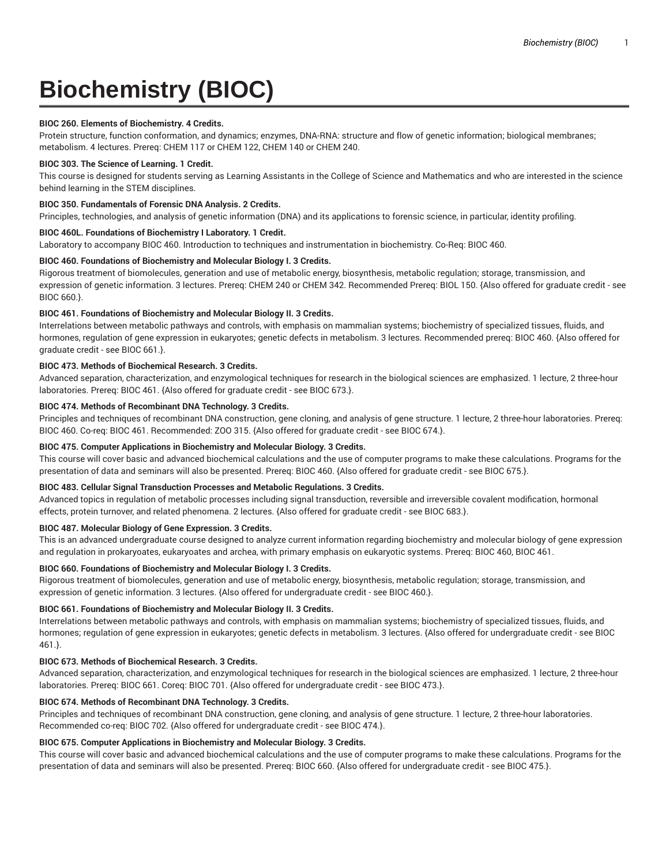# **Biochemistry (BIOC)**

## **BIOC 260. Elements of Biochemistry. 4 Credits.**

Protein structure, function conformation, and dynamics; enzymes, DNA-RNA: structure and flow of genetic information; biological membranes; metabolism. 4 lectures. Prereq: CHEM 117 or CHEM 122, CHEM 140 or CHEM 240.

## **BIOC 303. The Science of Learning. 1 Credit.**

This course is designed for students serving as Learning Assistants in the College of Science and Mathematics and who are interested in the science behind learning in the STEM disciplines.

# **BIOC 350. Fundamentals of Forensic DNA Analysis. 2 Credits.**

Principles, technologies, and analysis of genetic information (DNA) and its applications to forensic science, in particular, identity profiling.

# **BIOC 460L. Foundations of Biochemistry I Laboratory. 1 Credit.**

Laboratory to accompany BIOC 460. Introduction to techniques and instrumentation in biochemistry. Co-Req: BIOC 460.

# **BIOC 460. Foundations of Biochemistry and Molecular Biology I. 3 Credits.**

Rigorous treatment of biomolecules, generation and use of metabolic energy, biosynthesis, metabolic regulation; storage, transmission, and expression of genetic information. 3 lectures. Prereq: CHEM 240 or CHEM 342. Recommended Prereq: BIOL 150. {Also offered for graduate credit - see BIOC 660.}.

# **BIOC 461. Foundations of Biochemistry and Molecular Biology II. 3 Credits.**

Interrelations between metabolic pathways and controls, with emphasis on mammalian systems; biochemistry of specialized tissues, fluids, and hormones, regulation of gene expression in eukaryotes; genetic defects in metabolism. 3 lectures. Recommended prereq: BIOC 460. {Also offered for graduate credit - see BIOC 661.}.

# **BIOC 473. Methods of Biochemical Research. 3 Credits.**

Advanced separation, characterization, and enzymological techniques for research in the biological sciences are emphasized. 1 lecture, 2 three-hour laboratories. Prereq: BIOC 461. {Also offered for graduate credit - see BIOC 673.}.

# **BIOC 474. Methods of Recombinant DNA Technology. 3 Credits.**

Principles and techniques of recombinant DNA construction, gene cloning, and analysis of gene structure. 1 lecture, 2 three-hour laboratories. Prereq: BIOC 460. Co-req: BIOC 461. Recommended: ZOO 315. {Also offered for graduate credit - see BIOC 674.}.

# **BIOC 475. Computer Applications in Biochemistry and Molecular Biology. 3 Credits.**

This course will cover basic and advanced biochemical calculations and the use of computer programs to make these calculations. Programs for the presentation of data and seminars will also be presented. Prereq: BIOC 460. {Also offered for graduate credit - see BIOC 675.}.

#### **BIOC 483. Cellular Signal Transduction Processes and Metabolic Regulations. 3 Credits.**

Advanced topics in regulation of metabolic processes including signal transduction, reversible and irreversible covalent modification, hormonal effects, protein turnover, and related phenomena. 2 lectures. {Also offered for graduate credit - see BIOC 683.}.

## **BIOC 487. Molecular Biology of Gene Expression. 3 Credits.**

This is an advanced undergraduate course designed to analyze current information regarding biochemistry and molecular biology of gene expression and regulation in prokaryoates, eukaryoates and archea, with primary emphasis on eukaryotic systems. Prereq: BIOC 460, BIOC 461.

#### **BIOC 660. Foundations of Biochemistry and Molecular Biology I. 3 Credits.**

Rigorous treatment of biomolecules, generation and use of metabolic energy, biosynthesis, metabolic regulation; storage, transmission, and expression of genetic information. 3 lectures. {Also offered for undergraduate credit - see BIOC 460.}.

#### **BIOC 661. Foundations of Biochemistry and Molecular Biology II. 3 Credits.**

Interrelations between metabolic pathways and controls, with emphasis on mammalian systems; biochemistry of specialized tissues, fluids, and hormones; regulation of gene expression in eukaryotes; genetic defects in metabolism. 3 lectures. {Also offered for undergraduate credit - see BIOC 461.}.

#### **BIOC 673. Methods of Biochemical Research. 3 Credits.**

Advanced separation, characterization, and enzymological techniques for research in the biological sciences are emphasized. 1 lecture, 2 three-hour laboratories. Prereq: BIOC 661. Coreq: BIOC 701. {Also offered for undergraduate credit - see BIOC 473.}.

# **BIOC 674. Methods of Recombinant DNA Technology. 3 Credits.**

Principles and techniques of recombinant DNA construction, gene cloning, and analysis of gene structure. 1 lecture, 2 three-hour laboratories. Recommended co-req: BIOC 702. {Also offered for undergraduate credit - see BIOC 474.}.

# **BIOC 675. Computer Applications in Biochemistry and Molecular Biology. 3 Credits.**

This course will cover basic and advanced biochemical calculations and the use of computer programs to make these calculations. Programs for the presentation of data and seminars will also be presented. Prereq: BIOC 660. {Also offered for undergraduate credit - see BIOC 475.}.